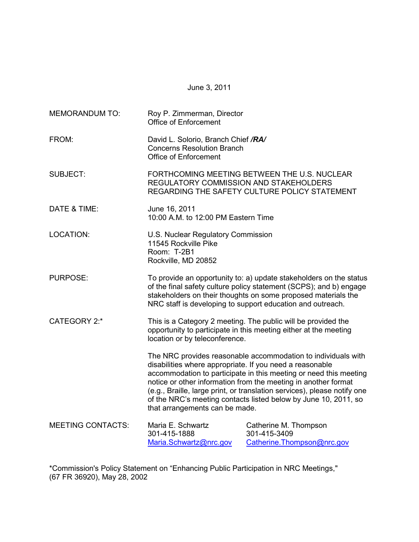June 3, 2011

| <b>MEMORANDUM TO:</b>    | Roy P. Zimmerman, Director<br><b>Office of Enforcement</b>                                                                                                                                                                                                                                                                                                                                                                                        |                                                                      |  |
|--------------------------|---------------------------------------------------------------------------------------------------------------------------------------------------------------------------------------------------------------------------------------------------------------------------------------------------------------------------------------------------------------------------------------------------------------------------------------------------|----------------------------------------------------------------------|--|
| FROM:                    | David L. Solorio, Branch Chief /RA/<br><b>Concerns Resolution Branch</b><br><b>Office of Enforcement</b>                                                                                                                                                                                                                                                                                                                                          |                                                                      |  |
| <b>SUBJECT:</b>          | FORTHCOMING MEETING BETWEEN THE U.S. NUCLEAR<br><b>REGULATORY COMMISSION AND STAKEHOLDERS</b><br>REGARDING THE SAFETY CULTURE POLICY STATEMENT                                                                                                                                                                                                                                                                                                    |                                                                      |  |
| DATE & TIME:             | June 16, 2011<br>10:00 A.M. to 12:00 PM Eastern Time                                                                                                                                                                                                                                                                                                                                                                                              |                                                                      |  |
| LOCATION:                | U.S. Nuclear Regulatory Commission<br>11545 Rockville Pike<br>Room: T-2B1<br>Rockville, MD 20852                                                                                                                                                                                                                                                                                                                                                  |                                                                      |  |
| <b>PURPOSE:</b>          | To provide an opportunity to: a) update stakeholders on the status<br>of the final safety culture policy statement (SCPS); and b) engage<br>stakeholders on their thoughts on some proposed materials the<br>NRC staff is developing to support education and outreach.                                                                                                                                                                           |                                                                      |  |
| <b>CATEGORY 2:*</b>      | This is a Category 2 meeting. The public will be provided the<br>opportunity to participate in this meeting either at the meeting<br>location or by teleconference.                                                                                                                                                                                                                                                                               |                                                                      |  |
|                          | The NRC provides reasonable accommodation to individuals with<br>disabilities where appropriate. If you need a reasonable<br>accommodation to participate in this meeting or need this meeting<br>notice or other information from the meeting in another format<br>(e.g., Braille, large print, or translation services), please notify one<br>of the NRC's meeting contacts listed below by June 10, 2011, so<br>that arrangements can be made. |                                                                      |  |
| <b>MEETING CONTACTS:</b> | Maria E. Schwartz<br>301-415-1888<br>Maria.Schwartz@nrc.gov                                                                                                                                                                                                                                                                                                                                                                                       | Catherine M. Thompson<br>301-415-3409<br>Catherine. Thompson@nrc.gov |  |

\*Commission's Policy Statement on "Enhancing Public Participation in NRC Meetings," (67 FR 36920), May 28, 2002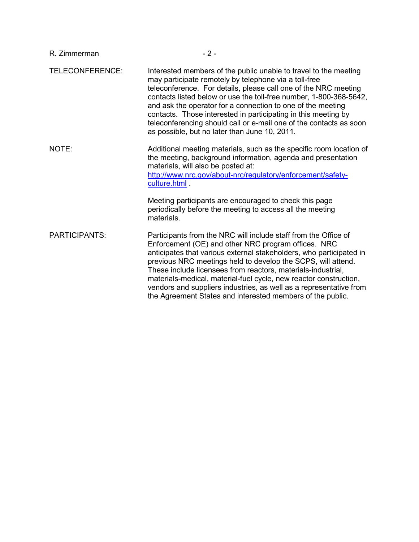| R. Zimmerman         | $-2-$                                                                                                                                                                                                                                                                                                                                                                                                                                                                                                                                  |
|----------------------|----------------------------------------------------------------------------------------------------------------------------------------------------------------------------------------------------------------------------------------------------------------------------------------------------------------------------------------------------------------------------------------------------------------------------------------------------------------------------------------------------------------------------------------|
| TELECONFERENCE:      | Interested members of the public unable to travel to the meeting<br>may participate remotely by telephone via a toll-free<br>teleconference. For details, please call one of the NRC meeting<br>contacts listed below or use the toll-free number, 1-800-368-5642,<br>and ask the operator for a connection to one of the meeting<br>contacts. Those interested in participating in this meeting by<br>teleconferencing should call or e-mail one of the contacts as soon<br>as possible, but no later than June 10, 2011.             |
| NOTE:                | Additional meeting materials, such as the specific room location of<br>the meeting, background information, agenda and presentation<br>materials, will also be posted at:<br>http://www.nrc.gov/about-nrc/regulatory/enforcement/safety-<br>culture.html .                                                                                                                                                                                                                                                                             |
|                      | Meeting participants are encouraged to check this page<br>periodically before the meeting to access all the meeting<br>materials.                                                                                                                                                                                                                                                                                                                                                                                                      |
| <b>PARTICIPANTS:</b> | Participants from the NRC will include staff from the Office of<br>Enforcement (OE) and other NRC program offices. NRC<br>anticipates that various external stakeholders, who participated in<br>previous NRC meetings held to develop the SCPS, will attend.<br>These include licensees from reactors, materials-industrial,<br>materials-medical, material-fuel cycle, new reactor construction,<br>vendors and suppliers industries, as well as a representative from<br>the Agreement States and interested members of the public. |